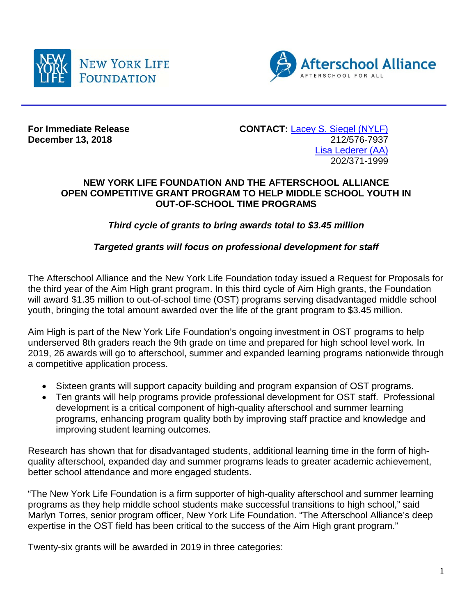



**December 13, 2018** 

**For Immediate Release CONTACT:** [Lacey S. Siegel \(NYLF\)](mailto:lacey_s_siegel@newyorklife.com?subject=New%20York%20Life%20Fdtn/Afterschool%20Alliance)<br>December 13, 2018 [Lisa Lederer](mailto:lisa@prsolutionsdc.com?subject=New%20York%20Life%20Fdtn/Afterschool%20Alliance) (AA) 202/371-1999

## **NEW YORK LIFE FOUNDATION AND THE AFTERSCHOOL ALLIANCE OPEN COMPETITIVE GRANT PROGRAM TO HELP MIDDLE SCHOOL YOUTH IN OUT-OF-SCHOOL TIME PROGRAMS**

*Third cycle of grants to bring awards total to \$3.45 million*

## *Targeted grants will focus on professional development for staff*

The Afterschool Alliance and the New York Life Foundation today issued a Request for Proposals for the third year of the Aim High grant program. In this third cycle of Aim High grants, the Foundation will award \$1.35 million to out-of-school time (OST) programs serving disadvantaged middle school youth, bringing the total amount awarded over the life of the grant program to \$3.45 million.

Aim High is part of the New York Life Foundation's ongoing investment in OST programs to help underserved 8th graders reach the 9th grade on time and prepared for high school level work. In 2019, 26 awards will go to afterschool, summer and expanded learning programs nationwide through a competitive application process.

- Sixteen grants will support capacity building and program expansion of OST programs.
- Ten grants will help programs provide professional development for OST staff. Professional development is a critical component of high-quality afterschool and summer learning programs, enhancing program quality both by improving staff practice and knowledge and improving student learning outcomes.

Research has shown that for disadvantaged students, additional learning time in the form of highquality afterschool, expanded day and summer programs leads to greater academic achievement, better school attendance and more engaged students.

"The New York Life Foundation is a firm supporter of high-quality afterschool and summer learning programs as they help middle school students make successful transitions to high school," said Marlyn Torres, senior program officer, New York Life Foundation. "The Afterschool Alliance's deep expertise in the OST field has been critical to the success of the Aim High grant program."

Twenty-six grants will be awarded in 2019 in three categories: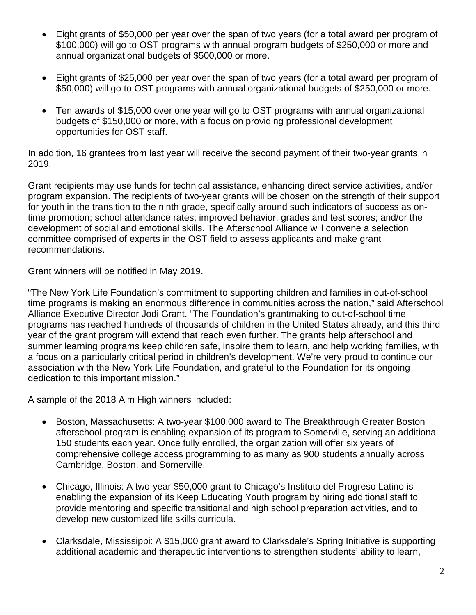- Eight grants of \$50,000 per year over the span of two years (for a total award per program of \$100,000) will go to OST programs with annual program budgets of \$250,000 or more and annual organizational budgets of \$500,000 or more.
- Eight grants of \$25,000 per year over the span of two years (for a total award per program of \$50,000) will go to OST programs with annual organizational budgets of \$250,000 or more.
- Ten awards of \$15,000 over one year will go to OST programs with annual organizational budgets of \$150,000 or more, with a focus on providing professional development opportunities for OST staff.

In addition, 16 grantees from last year will receive the second payment of their two-year grants in 2019.

Grant recipients may use funds for technical assistance, enhancing direct service activities, and/or program expansion. The recipients of two-year grants will be chosen on the strength of their support for youth in the transition to the ninth grade, specifically around such indicators of success as ontime promotion; school attendance rates; improved behavior, grades and test scores; and/or the development of social and emotional skills. The Afterschool Alliance will convene a selection committee comprised of experts in the OST field to assess applicants and make grant recommendations.

Grant winners will be notified in May 2019.

"The New York Life Foundation's commitment to supporting children and families in out-of-school time programs is making an enormous difference in communities across the nation," said Afterschool Alliance Executive Director Jodi Grant. "The Foundation's grantmaking to out-of-school time programs has reached hundreds of thousands of children in the United States already, and this third year of the grant program will extend that reach even further. The grants help afterschool and summer learning programs keep children safe, inspire them to learn, and help working families, with a focus on a particularly critical period in children's development. We're very proud to continue our association with the New York Life Foundation, and grateful to the Foundation for its ongoing dedication to this important mission."

A sample of the 2018 Aim High winners included:

- Boston, Massachusetts: A two-year \$100,000 award to The Breakthrough Greater Boston afterschool program is enabling expansion of its program to Somerville, serving an additional 150 students each year. Once fully enrolled, the organization will offer six years of comprehensive college access programming to as many as 900 students annually across Cambridge, Boston, and Somerville.
- Chicago, Illinois: A two-year \$50,000 grant to Chicago's Instituto del Progreso Latino is enabling the expansion of its Keep Educating Youth program by hiring additional staff to provide mentoring and specific transitional and high school preparation activities, and to develop new customized life skills curricula.
- Clarksdale, Mississippi: A \$15,000 grant award to Clarksdale's Spring Initiative is supporting additional academic and therapeutic interventions to strengthen students' ability to learn,